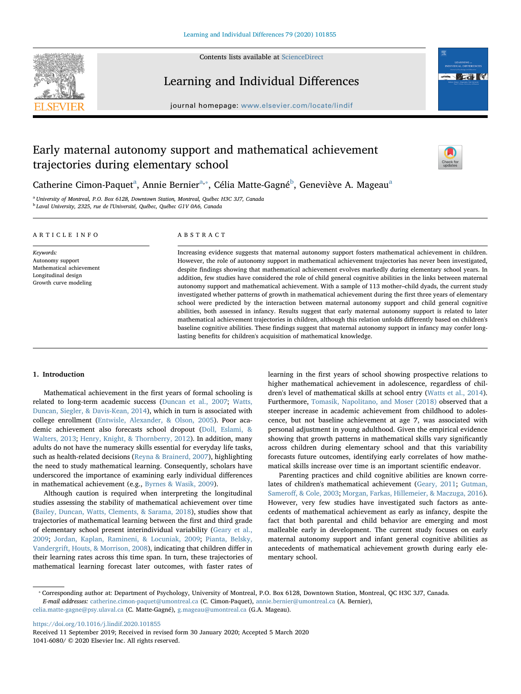

Contents lists available at [ScienceDirect](http://www.sciencedirect.com/science/journal/10416080)

# Learning and Individual Differences

journal homepage: [www.elsevier.com/locate/lindif](https://www.elsevier.com/locate/lindif)



# Early maternal autonomy support and mathematical achievement trajectories during elementary school



C[a](#page-0-0)therine Cimon-Paquet<sup>a</sup>, Annie Bernier<sup>a,</sup>\*, Célia Matte-Gagné<sup>[b](#page-0-2)</sup>, Geneviève A. Mageau<sup>a</sup>

<span id="page-0-2"></span><span id="page-0-0"></span><sup>a</sup> University of Montreal, P.O. Box 6128, Downtown Station, Montreal, Québec H3C 3J7, Canada <sup>b</sup> Laval University, 2325, rue de l'Université, Québec, Québec G1V 0A6, Canada

## ARTICLE INFO

Keywords: Autonomy support Mathematical achievement Longitudinal design Growth curve modeling

# ABSTRACT

Increasing evidence suggests that maternal autonomy support fosters mathematical achievement in children. However, the role of autonomy support in mathematical achievement trajectories has never been investigated, despite findings showing that mathematical achievement evolves markedly during elementary school years. In addition, few studies have considered the role of child general cognitive abilities in the links between maternal autonomy support and mathematical achievement. With a sample of 113 mother–child dyads, the current study investigated whether patterns of growth in mathematical achievement during the first three years of elementary school were predicted by the interaction between maternal autonomy support and child general cognitive abilities, both assessed in infancy. Results suggest that early maternal autonomy support is related to later mathematical achievement trajectories in children, although this relation unfolds differently based on children's baseline cognitive abilities. These findings suggest that maternal autonomy support in infancy may confer longlasting benefits for children's acquisition of mathematical knowledge.

# 1. Introduction

Mathematical achievement in the first years of formal schooling is related to long-term academic success ([Duncan et al., 2007](#page-9-0); [Watts,](#page-10-0) [Duncan, Siegler, & Davis-Kean, 2014\)](#page-10-0), which in turn is associated with college enrollment [\(Entwisle, Alexander, & Olson, 2005\)](#page-9-1). Poor academic achievement also forecasts school dropout ([Doll, Eslami, &](#page-9-2) [Walters, 2013](#page-9-2); [Henry, Knight, & Thornberry, 2012](#page-9-3)). In addition, many adults do not have the numeracy skills essential for everyday life tasks, such as health-related decisions ([Reyna & Brainerd, 2007](#page-10-1)), highlighting the need to study mathematical learning. Consequently, scholars have underscored the importance of examining early individual differences in mathematical achievement (e.g., [Byrnes & Wasik, 2009\)](#page-9-4).

Although caution is required when interpreting the longitudinal studies assessing the stability of mathematical achievement over time ([Bailey, Duncan, Watts, Clements, & Sarama, 2018\)](#page-8-0), studies show that trajectories of mathematical learning between the first and third grade of elementary school present interindividual variability ([Geary et al.,](#page-9-5) [2009;](#page-9-5) [Jordan, Kaplan, Ramineni, & Locuniak, 2009;](#page-9-6) [Pianta, Belsky,](#page-10-2) [Vandergrift, Houts, & Morrison, 2008\)](#page-10-2), indicating that children differ in their learning rates across this time span. In turn, these trajectories of mathematical learning forecast later outcomes, with faster rates of

learning in the first years of school showing prospective relations to higher mathematical achievement in adolescence, regardless of children's level of mathematical skills at school entry ([Watts et al., 2014](#page-10-0)). Furthermore, [Tomasik, Napolitano, and Moser \(2018\)](#page-10-3) observed that a steeper increase in academic achievement from childhood to adolescence, but not baseline achievement at age 7, was associated with personal adjustment in young adulthood. Given the empirical evidence showing that growth patterns in mathematical skills vary significantly across children during elementary school and that this variability forecasts future outcomes, identifying early correlates of how mathematical skills increase over time is an important scientific endeavor.

Parenting practices and child cognitive abilities are known correlates of children's mathematical achievement ([Geary, 2011;](#page-9-7) [Gutman,](#page-9-8) Sameroff[, & Cole, 2003;](#page-9-8) [Morgan, Farkas, Hillemeier, & Maczuga, 2016](#page-10-4)). However, very few studies have investigated such factors as antecedents of mathematical achievement as early as infancy, despite the fact that both parental and child behavior are emerging and most malleable early in development. The current study focuses on early maternal autonomy support and infant general cognitive abilities as antecedents of mathematical achievement growth during early elementary school.

<https://doi.org/10.1016/j.lindif.2020.101855>

<span id="page-0-1"></span><sup>⁎</sup> Corresponding author at: Department of Psychology, University of Montreal, P.O. Box 6128, Downtown Station, Montreal, QC H3C 3J7, Canada. E-mail addresses: [catherine.cimon-paquet@umontreal.ca](mailto:catherine.cimon-paquet@umontreal.ca) (C. Cimon-Paquet), [annie.bernier@umontreal.ca](mailto:annie.bernier@umontreal.ca) (A. Bernier),

[celia.matte-gagne@psy.ulaval.ca](mailto:celia.matte-gagne@psy.ulaval.ca) (C. Matte-Gagné), [g.mageau@umontreal.ca](mailto:g.mageau@umontreal.ca) (G.A. Mageau).

Received 11 September 2019; Received in revised form 30 January 2020; Accepted 5 March 2020 1041-6080/ © 2020 Elsevier Inc. All rights reserved.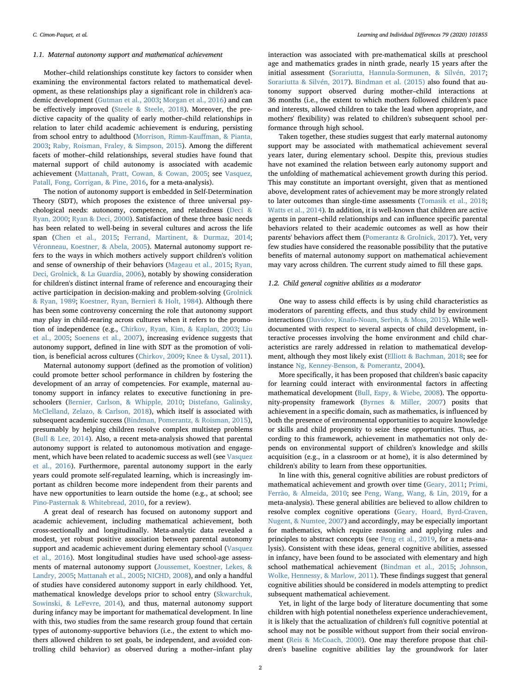## 1.1. Maternal autonomy support and mathematical achievement

Mother–child relationships constitute key factors to consider when examining the environmental factors related to mathematical development, as these relationships play a significant role in children's academic development ([Gutman et al., 2003](#page-9-8); [Morgan et al., 2016\)](#page-10-4) and can be effectively improved ([Steele & Steele, 2018](#page-10-5)). Moreover, the predictive capacity of the quality of early mother–child relationships in relation to later child academic achievement is enduring, persisting from school entry to adulthood ([Morrison, Rimm-Kau](#page-10-6)ffman, & Pianta, [2003;](#page-10-6) [Raby, Roisman, Fraley, & Simpson, 2015](#page-10-7)). Among the different facets of mother–child relationships, several studies have found that maternal support of child autonomy is associated with academic achievement ([Mattanah, Pratt, Cowan, & Cowan, 2005](#page-10-8); see [Vasquez,](#page-10-9) [Patall, Fong, Corrigan, & Pine, 2016](#page-10-9), for a meta-analysis).

The notion of autonomy support is embedded in Self-Determination Theory (SDT), which proposes the existence of three universal psychological needs: autonomy, competence, and relatedness ([Deci &](#page-9-9) [Ryan, 2000;](#page-9-9) [Ryan & Deci, 2000](#page-10-10)). Satisfaction of these three basic needs has been related to well-being in several cultures and across the life span ([Chen et al., 2015](#page-9-10); [Ferrand, Martinent, & Durmaz, 2014](#page-9-11); [Véronneau, Koestner, & Abela, 2005](#page-10-11)). Maternal autonomy support refers to the ways in which mothers actively support children's volition and sense of ownership of their behaviors [\(Mageau et al., 2015;](#page-10-12) [Ryan,](#page-10-13) [Deci, Grolnick, & La Guardia, 2006\)](#page-10-13), notably by showing consideration for children's distinct internal frame of reference and encouraging their active participation in decision-making and problem-solving [\(Grolnick](#page-9-12) [& Ryan, 1989;](#page-9-12) [Koestner, Ryan, Bernieri & Holt, 1984](#page-9-13)). Although there has been some controversy concerning the role that autonomy support may play in child-rearing across cultures when it refers to the promotion of independence (e.g., [Chirkov, Ryan, Kim, & Kaplan, 2003;](#page-9-14) [Liu](#page-10-14) [et al., 2005;](#page-10-14) [Soenens et al., 2007\)](#page-10-15), increasing evidence suggests that autonomy support, defined in line with SDT as the promotion of volition, is beneficial across cultures [\(Chirkov, 2009;](#page-9-15) [Knee & Uysal, 2011](#page-9-16)).

Maternal autonomy support (defined as the promotion of volition) could promote better school performance in children by fostering the development of an array of competencies. For example, maternal autonomy support in infancy relates to executive functioning in preschoolers ([Bernier, Carlson, & Whipple, 2010;](#page-8-1) [Distefano, Galinsky,](#page-9-17) McClelland, [Zelazo, & Carlson, 2018](#page-9-17)), which itself is associated with subsequent academic success ([Bindman, Pomerantz, & Roisman, 2015](#page-9-18)), presumably by helping children resolve complex multistep problems ([Bull & Lee, 2014](#page-9-19)). Also, a recent meta-analysis showed that parental autonomy support is related to autonomous motivation and engagement, which have been related to academic success as well (see [Vasquez](#page-10-9) [et al., 2016](#page-10-9)). Furthermore, parental autonomy support in the early years could promote self-regulated learning, which is increasingly important as children become more independent from their parents and have new opportunities to learn outside the home (e.g., at school; see [Pino-Pasternak & Whitebread, 2010](#page-10-16), for a review).

A great deal of research has focused on autonomy support and academic achievement, including mathematical achievement, both cross-sectionally and longitudinally. Meta-analytic data revealed a modest, yet robust positive association between parental autonomy support and academic achievement during elementary school ([Vasquez](#page-10-9) [et al., 2016](#page-10-9)). Most longitudinal studies have used school-age assessments of maternal autonomy support ([Joussemet, Koestner, Lekes, &](#page-9-20) [Landry, 2005](#page-9-20); [Mattanah et al., 2005](#page-10-8); [NICHD, 2008](#page-10-17)), and only a handful of studies have considered autonomy support in early childhood. Yet, mathematical knowledge develops prior to school entry ([Skwarchuk,](#page-10-18) [Sowinski, & LeFevre, 2014\)](#page-10-18), and thus, maternal autonomy support during infancy may be important for mathematical development. In line with this, two studies from the same research group found that certain types of autonomy-supportive behaviors (i.e., the extent to which mothers allowed children to set goals, be independent, and avoided controlling child behavior) as observed during a mother–infant play

interaction was associated with pre-mathematical skills at preschool age and mathematics grades in ninth grade, nearly 15 years after the initial assessment [\(Sorariutta, Hannula-Sormunen, & Silvén, 2017](#page-10-19); [Sorariutta & Silvén, 2017](#page-10-20)). [Bindman et al. \(2015\)](#page-9-18) also found that autonomy support observed during mother–child interactions at 36 months (i.e., the extent to which mothers followed children's pace and interests, allowed children to take the lead when appropriate, and mothers' flexibility) was related to children's subsequent school performance through high school.

Taken together, these studies suggest that early maternal autonomy support may be associated with mathematical achievement several years later, during elementary school. Despite this, previous studies have not examined the relation between early autonomy support and the unfolding of mathematical achievement growth during this period. This may constitute an important oversight, given that as mentioned above, development rates of achievement may be more strongly related to later outcomes than single-time assessments [\(Tomasik et al., 2018](#page-10-3); [Watts et al., 2014](#page-10-0)). In addition, it is well-known that children are active agents in parent–child relationships and can influence specific parental behaviors related to their academic outcomes as well as how their parents' behaviors affect them ([Pomerantz & Grolnick, 2017\)](#page-10-21). Yet, very few studies have considered the reasonable possibility that the putative benefits of maternal autonomy support on mathematical achievement may vary across children. The current study aimed to fill these gaps.

#### 1.2. Child general cognitive abilities as a moderator

One way to assess child effects is by using child characteristics as moderators of parenting effects, and thus study child by environment interactions [\(Davidov, Knafo-Noam, Serbin, & Moss, 2015](#page-9-21)). While welldocumented with respect to several aspects of child development, interactive processes involving the home environment and child characteristics are rarely addressed in relation to mathematical development, although they most likely exist [\(Elliott & Bachman, 2018;](#page-9-22) see for instance [Ng, Kenney-Benson, & Pomerantz, 2004\)](#page-10-22).

More specifically, it has been proposed that children's basic capacity for learning could interact with environmental factors in affecting mathematical development ([Bull, Espy, & Wiebe, 2008](#page-9-23)). The opportunity-propensity framework [\(Byrnes & Miller, 2007\)](#page-9-24) posits that achievement in a specific domain, such as mathematics, is influenced by both the presence of environmental opportunities to acquire knowledge or skills and child propensity to seize these opportunities. Thus, according to this framework, achievement in mathematics not only depends on environmental support of children's knowledge and skills acquisition (e.g., in a classroom or at home), it is also determined by children's ability to learn from these opportunities.

In line with this, general cognitive abilities are robust predictors of mathematical achievement and growth over time ([Geary, 2011](#page-9-7); [Primi,](#page-10-23) [Ferrão, & Almeida, 2010;](#page-10-23) see [Peng, Wang, Wang, & Lin, 2019,](#page-10-24) for a meta-analysis). These general abilities are believed to allow children to resolve complex cognitive operations ([Geary, Hoard, Byrd-Craven,](#page-9-25) [Nugent, & Numtee, 2007\)](#page-9-25) and accordingly, may be especially important for mathematics, which require reasoning and applying rules and principles to abstract concepts (see [Peng et al., 2019](#page-10-24), for a meta-analysis). Consistent with these ideas, general cognitive abilities, assessed in infancy, have been found to be associated with elementary and high school mathematical achievement ([Bindman et al., 2015](#page-9-18); [Johnson,](#page-9-26) [Wolke, Hennessy, & Marlow, 2011\)](#page-9-26). These findings suggest that general cognitive abilities should be considered in models attempting to predict subsequent mathematical achievement.

Yet, in light of the large body of literature documenting that some children with high potential nonetheless experience underachievement, it is likely that the actualization of children's full cognitive potential at school may not be possible without support from their social environment ([Reis & McCoach, 2000\)](#page-10-25). One may therefore propose that children's baseline cognitive abilities lay the groundwork for later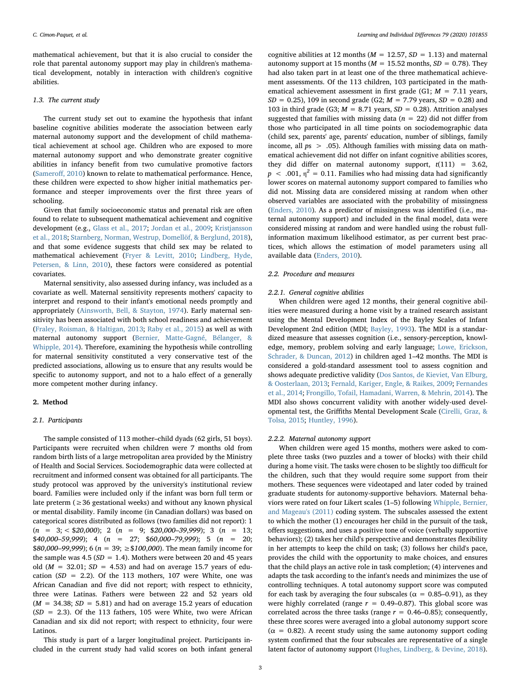mathematical achievement, but that it is also crucial to consider the role that parental autonomy support may play in children's mathematical development, notably in interaction with children's cognitive abilities.

# 1.3. The current study

The current study set out to examine the hypothesis that infant baseline cognitive abilities moderate the association between early maternal autonomy support and the development of child mathematical achievement at school age. Children who are exposed to more maternal autonomy support and who demonstrate greater cognitive abilities in infancy benefit from two cumulative promotive factors ([Samero](#page-10-26)ff, 2010) known to relate to mathematical performance. Hence, these children were expected to show higher initial mathematics performance and steeper improvements over the first three years of schooling.

Given that family socioeconomic status and prenatal risk are often found to relate to subsequent mathematical achievement and cognitive development (e.g., [Glass et al., 2017](#page-9-27); [Jordan et al., 2009](#page-9-6); [Kristjansson](#page-9-28) [et al., 2018;](#page-9-28) [Starnberg, Norman, Westrup, Domellöf, & Berglund, 2018](#page-10-27)), and that some evidence suggests that child sex may be related to mathematical achievement [\(Fryer & Levitt, 2010](#page-9-29); [Lindberg, Hyde,](#page-9-30) [Petersen, & Linn, 2010](#page-9-30)), these factors were considered as potential covariates.

Maternal sensitivity, also assessed during infancy, was included as a covariate as well. Maternal sensitivity represents mothers' capacity to interpret and respond to their infant's emotional needs promptly and appropriately [\(Ainsworth, Bell, & Stayton, 1974](#page-8-2)). Early maternal sensitivity has been associated with both school readiness and achievement ([Fraley, Roisman, & Haltigan, 2013;](#page-9-31) [Raby et al., 2015\)](#page-10-7) as well as with maternal autonomy support [\(Bernier, Matte-Gagné, Bélanger, &](#page-9-32) [Whipple, 2014\)](#page-9-32). Therefore, examining the hypothesis while controlling for maternal sensitivity constituted a very conservative test of the predicted associations, allowing us to ensure that any results would be specific to autonomy support, and not to a halo effect of a generally more competent mother during infancy.

# 2. Method

#### 2.1. Participants

The sample consisted of 113 mother–child dyads (62 girls, 51 boys). Participants were recruited when children were 7 months old from random birth lists of a large metropolitan area provided by the Ministry of Health and Social Services. Sociodemographic data were collected at recruitment and informed consent was obtained for all participants. The study protocol was approved by the university's institutional review board. Families were included only if the infant was born full term or late preterm ( $\geq$  36 gestational weeks) and without any known physical or mental disability. Family income (in Canadian dollars) was based on categorical scores distributed as follows (two families did not report): 1  $(n = 3; < $20,000);$  2  $(n = 9; $20,000-39,999);$  3  $(n = 13;$  $$40,000-59,999$ ; 4 (n = 27;  $$60,000-79,999$ ); 5 (n = 20; \$80,000–99,999); 6 ( $n = 39$ ;  $\geq$  \$100,000). The mean family income for the sample was 4.5 ( $SD = 1.4$ ). Mothers were between 20 and 45 years old ( $M = 32.01$ ;  $SD = 4.53$ ) and had on average 15.7 years of education ( $SD = 2.2$ ). Of the 113 mothers, 107 were White, one was African Canadian and five did not report; with respect to ethnicity, three were Latinas. Fathers were between 22 and 52 years old  $(M = 34.38; SD = 5.81)$  and had on average 15.2 years of education  $(SD = 2.3)$ . Of the 113 fathers, 105 were White, two were African Canadian and six did not report; with respect to ethnicity, four were Latinos.

This study is part of a larger longitudinal project. Participants included in the current study had valid scores on both infant general

cognitive abilities at 12 months ( $M = 12.57$ ,  $SD = 1.13$ ) and maternal autonomy support at 15 months ( $M = 15.52$  months,  $SD = 0.78$ ). They had also taken part in at least one of the three mathematical achievement assessments. Of the 113 children, 103 participated in the mathematical achievement assessment in first grade (G1;  $M = 7.11$  years,  $SD = 0.25$ , 109 in second grade (G2;  $M = 7.79$  years,  $SD = 0.28$ ) and 103 in third grade (G3;  $M = 8.71$  years,  $SD = 0.28$ ). Attrition analyses suggested that families with missing data ( $n = 22$ ) did not differ from those who participated in all time points on sociodemographic data (child sex, parents' age, parents' education, number of siblings, family income, all  $ps > .05$ ). Although families with missing data on mathematical achievement did not differ on infant cognitive abilities scores, they did differ on maternal autonomy support,  $t(111) = 3.62$ .  $p \sim .001$ ,  $\eta^2 = 0.11$ . Families who had missing data had significantly lower scores on maternal autonomy support compared to families who did not. Missing data are considered missing at random when other observed variables are associated with the probability of missingness ([Enders, 2010\)](#page-9-33). As a predictor of missingness was identified (i.e., maternal autonomy support) and included in the final model, data were considered missing at random and were handled using the robust fullinformation maximum likelihood estimator, as per current best practices, which allows the estimation of model parameters using all available data [\(Enders, 2010\)](#page-9-33).

# 2.2. Procedure and measures

#### 2.2.1. General cognitive abilities

When children were aged 12 months, their general cognitive abilities were measured during a home visit by a trained research assistant using the Mental Development Index of the Bayley Scales of Infant Development 2nd edition (MDI; [Bayley, 1993\)](#page-8-3). The MDI is a standardized measure that assesses cognition (i.e., sensory-perception, knowledge, memory, problem solving and early language; [Lowe, Erickson,](#page-10-28) [Schrader, & Duncan, 2012\)](#page-10-28) in children aged 1–42 months. The MDI is considered a gold-standard assessment tool to assess cognition and shows adequate predictive validity ([Dos Santos, de Kieviet, Van Elburg,](#page-9-34) [& Oosterlaan, 2013;](#page-9-34) [Fernald, Kariger, Engle, & Raikes, 2009](#page-9-35); [Fernandes](#page-9-36) [et al., 2014;](#page-9-36) [Frongillo, Tofail, Hamadani, Warren, & Mehrin, 2014](#page-9-37)). The MDI also shows concurrent validity with another widely-used developmental test, the Griffiths Mental Development Scale ([Cirelli, Graz, &](#page-9-38) [Tolsa, 2015](#page-9-38); [Huntley, 1996](#page-9-39)).

#### 2.2.2. Maternal autonomy support

When children were aged 15 months, mothers were asked to complete three tasks (two puzzles and a tower of blocks) with their child during a home visit. The tasks were chosen to be slightly too difficult for the children, such that they would require some support from their mothers. These sequences were videotaped and later coded by trained graduate students for autonomy-supportive behaviors. Maternal behaviors were rated on four Likert scales (1–5) following [Whipple, Bernier,](#page-10-29) [and Mageau's \(2011\)](#page-10-29) coding system. The subscales assessed the extent to which the mother (1) encourages her child in the pursuit of the task, offers suggestions, and uses a positive tone of voice (verbally supportive behaviors); (2) takes her child's perspective and demonstrates flexibility in her attempts to keep the child on task; (3) follows her child's pace, provides the child with the opportunity to make choices, and ensures that the child plays an active role in task completion; (4) intervenes and adapts the task according to the infant's needs and minimizes the use of controlling techniques. A total autonomy support score was computed for each task by averaging the four subscales ( $\alpha = 0.85{\text -}0.91$ ), as they were highly correlated (range  $r = 0.49-0.87$ ). This global score was correlated across the three tasks (range  $r = 0.46{\text -}0.85$ ); consequently, these three scores were averaged into a global autonomy support score  $(\alpha = 0.82)$ . A recent study using the same autonomy support coding system confirmed that the four subscales are representative of a single latent factor of autonomy support ([Hughes, Lindberg, & Devine, 2018](#page-9-40)).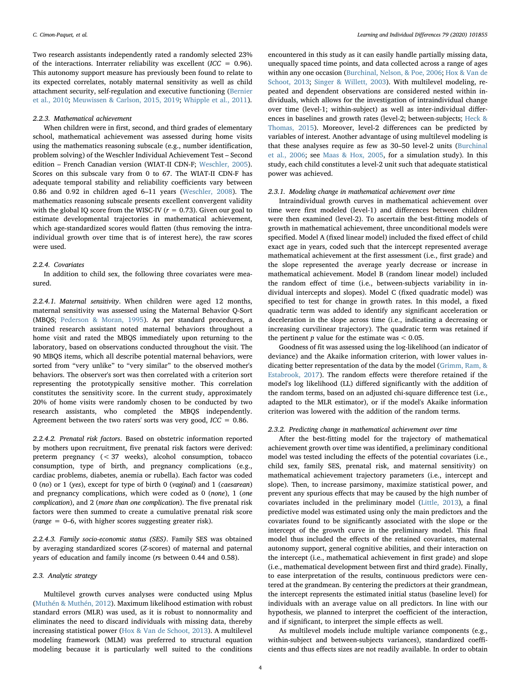Two research assistants independently rated a randomly selected 23% of the interactions. Interrater reliability was excellent ( $ICC = 0.96$ ). This autonomy support measure has previously been found to relate to its expected correlates, notably maternal sensitivity as well as child attachment security, self-regulation and executive functioning ([Bernier](#page-8-1) [et al., 2010](#page-8-1); [Meuwissen & Carlson, 2015, 2019](#page-10-30); [Whipple et al., 2011](#page-10-29)).

# 2.2.3. Mathematical achievement

When children were in first, second, and third grades of elementary school, mathematical achievement was assessed during home visits using the mathematics reasoning subscale (e.g., number identification, problem solving) of the Weschler Individual Achievement Test – Second edition – French Canadian version (WIAT-II CDN-F; [Weschler, 2005](#page-10-31)). Scores on this subscale vary from 0 to 67. The WIAT-II CDN-F has adequate temporal stability and reliability coefficients vary between 0.86 and 0.92 in children aged 6–11 years [\(Weschler, 2008\)](#page-10-32). The mathematics reasoning subscale presents excellent convergent validity with the global IQ score from the WISC-IV ( $r = 0.73$ ). Given our goal to estimate developmental trajectories in mathematical achievement, which age-standardized scores would flatten (thus removing the intraindividual growth over time that is of interest here), the raw scores were used.

# 2.2.4. Covariates

In addition to child sex, the following three covariates were measured.

2.2.4.1. Maternal sensitivity. When children were aged 12 months, maternal sensitivity was assessed using the Maternal Behavior Q-Sort (MBQS; [Pederson & Moran, 1995](#page-10-33)). As per standard procedures, a trained research assistant noted maternal behaviors throughout a home visit and rated the MBQS immediately upon returning to the laboratory, based on observations conducted throughout the visit. The 90 MBQS items, which all describe potential maternal behaviors, were sorted from "very unlike" to "very similar" to the observed mother's behaviors. The observer's sort was then correlated with a criterion sort representing the prototypically sensitive mother. This correlation constitutes the sensitivity score. In the current study, approximately 20% of home visits were randomly chosen to be conducted by two research assistants, who completed the MBQS independently. Agreement between the two raters' sorts was very good,  $ICC = 0.86$ .

2.2.4.2. Prenatal risk factors. Based on obstetric information reported by mothers upon recruitment, five prenatal risk factors were derived: preterm pregnancy (< 37 weeks), alcohol consumption, tobacco consumption, type of birth, and pregnancy complications (e.g., cardiac problems, diabetes, anemia or rubella). Each factor was coded 0 (no) or 1 (yes), except for type of birth 0 (vaginal) and 1 (caesarean) and pregnancy complications, which were coded as 0 (none), 1 (one complication), and 2 (more than one complication). The five prenatal risk factors were then summed to create a cumulative prenatal risk score (range = 0–6, with higher scores suggesting greater risk).

2.2.4.3. Family socio-economic status (SES). Family SES was obtained by averaging standardized scores (Z-scores) of maternal and paternal years of education and family income (rs between 0.44 and 0.58).

# 2.3. Analytic strategy

Multilevel growth curves analyses were conducted using Mplus ([Muthén & Muthén, 2012\)](#page-10-34). Maximum likelihood estimation with robust standard errors (MLR) was used, as it is robust to nonnormality and eliminates the need to discard individuals with missing data, thereby increasing statistical power [\(Hox & Van de Schoot, 2013\)](#page-9-41). A multilevel modeling framework (MLM) was preferred to structural equation modeling because it is particularly well suited to the conditions

encountered in this study as it can easily handle partially missing data, unequally spaced time points, and data collected across a range of ages within any one occasion [\(Burchinal, Nelson, & Poe, 2006](#page-9-42); [Hox & Van de](#page-9-41) [Schoot, 2013;](#page-9-41) [Singer & Willett, 2003\)](#page-10-35). With multilevel modeling, repeated and dependent observations are considered nested within individuals, which allows for the investigation of intraindividual change over time (level-1; within-subject) as well as inter-individual differences in baselines and growth rates (level-2; between-subjects; [Heck &](#page-9-43) [Thomas, 2015](#page-9-43)). Moreover, level-2 differences can be predicted by variables of interest. Another advantage of using multilevel modeling is that these analyses require as few as 30–50 level-2 units ([Burchinal](#page-9-42) [et al., 2006](#page-9-42); see [Maas & Hox, 2005](#page-10-36), for a simulation study). In this study, each child constitutes a level-2 unit such that adequate statistical power was achieved.

# 2.3.1. Modeling change in mathematical achievement over time

Intraindividual growth curves in mathematical achievement over time were first modeled (level-1) and differences between children were then examined (level-2). To ascertain the best-fitting models of growth in mathematical achievement, three unconditional models were specified. Model A (fixed linear model) included the fixed effect of child exact age in years, coded such that the intercept represented average mathematical achievement at the first assessment (i.e., first grade) and the slope represented the average yearly decrease or increase in mathematical achievement. Model B (random linear model) included the random effect of time (i.e., between-subjects variability in individual intercepts and slopes). Model C (fixed quadratic model) was specified to test for change in growth rates. In this model, a fixed quadratic term was added to identify any significant acceleration or deceleration in the slope across time (i.e., indicating a decreasing or increasing curvilinear trajectory). The quadratic term was retained if the pertinent  $p$  value for the estimate was  $< 0.05$ .

Goodness of fit was assessed using the log-likelihood (an indicator of deviance) and the Akaike information criterion, with lower values indicating better representation of the data by the model ([Grimm, Ram, &](#page-9-44) [Estabrook, 2017](#page-9-44)). The random effects were therefore retained if the model's log likelihood (LL) differed significantly with the addition of the random terms, based on an adjusted chi-square difference test (i.e., adapted to the MLR estimator), or if the model's Akaike information criterion was lowered with the addition of the random terms.

#### 2.3.2. Predicting change in mathematical achievement over time

After the best-fitting model for the trajectory of mathematical achievement growth over time was identified, a preliminary conditional model was tested including the effects of the potential covariates (i.e., child sex, family SES, prenatal risk, and maternal sensitivity) on mathematical achievement trajectory parameters (i.e., intercept and slope). Then, to increase parsimony, maximize statistical power, and prevent any spurious effects that may be caused by the high number of covariates included in the preliminary model ([Little, 2013](#page-10-37)), a final predictive model was estimated using only the main predictors and the covariates found to be significantly associated with the slope or the intercept of the growth curve in the preliminary model. This final model thus included the effects of the retained covariates, maternal autonomy support, general cognitive abilities, and their interaction on the intercept (i.e., mathematical achievement in first grade) and slope (i.e., mathematical development between first and third grade). Finally, to ease interpretation of the results, continuous predictors were centered at the grandmean. By centering the predictors at their grandmean, the intercept represents the estimated initial status (baseline level) for individuals with an average value on all predictors. In line with our hypothesis, we planned to interpret the coefficient of the interaction, and if significant, to interpret the simple effects as well.

As multilevel models include multiple variance components (e.g., within-subject and between-subjects variances), standardized coefficients and thus effects sizes are not readily available. In order to obtain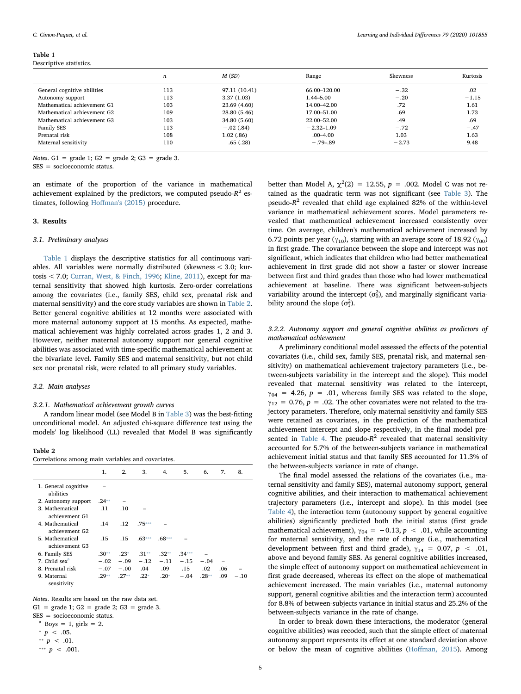#### <span id="page-4-0"></span>Table 1

Descriptive statistics.

|                             | $\boldsymbol{n}$ | M(SD)         | Range          | Skewness | Kurtosis |
|-----------------------------|------------------|---------------|----------------|----------|----------|
| General cognitive abilities | 113              | 97.11 (10.41) | 66.00-120.00   | $-.32$   | .02      |
| Autonomy support            | 113              | 3.37(1.03)    | 1.44–5.00      | $-.20$   | $-1.15$  |
| Mathematical achievement G1 | 103              | 23.69 (4.60)  | 14.00-42.00    | .72      | 1.61     |
| Mathematical achievement G2 | 109              | 28.80 (5.46)  | 17.00–51.00    | .69      | 1.73     |
| Mathematical achievement G3 | 103              | 34.80 (5.60)  | 22.00–52.00    | .49      | .69      |
| Family SES                  | 113              | $-.02(.84)$   | $-2.32 - 1.09$ | $-.72$   | $-.47$   |
| Prenatal risk               | 108              | 1.02(0.86)    | $.00 - 4.00$   | 1.03     | 1.63     |
| Maternal sensitivity        | 110              | .65(.28)      | $-.79-.89$     | $-2.73$  | 9.48     |

Notes.  $G1 =$  grade 1;  $G2 =$  grade 2;  $G3 =$  grade 3. SES = socioeconomic status.

an estimate of the proportion of the variance in mathematical achievement explained by the predictors, we computed pseudo- $R^2$  estimates, following Hoff[man's \(2015\)](#page-9-45) procedure.

# 3. Results

# 3.1. Preliminary analyses

[Table 1](#page-4-0) displays the descriptive statistics for all continuous variables. All variables were normally distributed (skewness < 3.0; kurtosis < 7.0; [Curran, West, & Finch, 1996;](#page-9-46) [Kline, 2011](#page-9-47)), except for maternal sensitivity that showed high kurtosis. Zero-order correlations among the covariates (i.e., family SES, child sex, prenatal risk and maternal sensitivity) and the core study variables are shown in [Table 2](#page-4-1). Better general cognitive abilities at 12 months were associated with more maternal autonomy support at 15 months. As expected, mathematical achievement was highly correlated across grades 1, 2 and 3. However, neither maternal autonomy support nor general cognitive abilities was associated with time-specific mathematical achievement at the bivariate level. Family SES and maternal sensitivity, but not child sex nor prenatal risk, were related to all primary study variables.

## 3.2. Main analyses

## 3.2.1. Mathematical achievement growth curves

A random linear model (see Model B in [Table 3](#page-5-0)) was the best-fitting unconditional model. An adjusted chi-square difference test using the models' log likelihood (LL) revealed that Model B was significantly

<span id="page-4-1"></span>Table 2

Correlations among main variables and covariates.

|                                   | 1.      | 2.      | 3.       | 4.       | 5.       | 6.      | 7.  | 8.     |
|-----------------------------------|---------|---------|----------|----------|----------|---------|-----|--------|
| 1. General cognitive<br>abilities |         |         |          |          |          |         |     |        |
| 2. Autonomy support               | $.24**$ |         |          |          |          |         |     |        |
| 3. Mathematical                   | .11     | .10     |          |          |          |         |     |        |
| achievement G1                    |         |         |          |          |          |         |     |        |
| 4. Mathematical                   | .14     | .12     | $.75***$ |          |          |         |     |        |
| achievement G2                    |         |         |          |          |          |         |     |        |
| 5. Mathematical<br>achievement G3 | .15     | .15     | $.63***$ | $.68***$ |          |         |     |        |
| 6. Family SES                     | $.30**$ | $.23*$  | $.31**$  | $.32**$  | $.34***$ |         |     |        |
| 7. Child sex <sup>a</sup>         | $-.02$  | $-.09$  | $-.12$   | $-.11$   | $-.15$   | $-.04$  |     |        |
| 8. Prenatal risk                  | $-.07$  | $-.00$  | .04      | .09      | .15      | .02     | .06 |        |
| 9. Maternal<br>sensitivity        | $.29**$ | $.27**$ | $.22*$   | $.20*$   | $-.04$   | $.28**$ | .09 | $-.10$ |

Notes. Results are based on the raw data set.

 $G1 =$  grade 1;  $G2 =$  grade 2;  $G3 =$  grade 3.

SES = socioeconomic status.

<span id="page-4-5"></span> $a$  Boys = 1, girls = 2.

<span id="page-4-4"></span> $p \sim .05$ .

<span id="page-4-2"></span>\*\*  $p$  < .01.

<span id="page-4-3"></span>\*\*\*  $p \, < \, .001$ .

better than Model A,  $\chi^2(2) = 12.55$ ,  $p = .002$ . Model C was not retained as the quadratic term was not significant (see [Table 3](#page-5-0)). The pseudo- $R^2$  revealed that child age explained 82% of the within-level variance in mathematical achievement scores. Model parameters revealed that mathematical achievement increased consistently over time. On average, children's mathematical achievement increased by 6.72 points per year ( $\gamma_{10}$ ), starting with an average score of 18.92 ( $\gamma_{00}$ ) in first grade. The covariance between the slope and intercept was not significant, which indicates that children who had better mathematical achievement in first grade did not show a faster or slower increase between first and third grades than those who had lower mathematical achievement at baseline. There was significant between-subjects variability around the intercept  $(\sigma_0^2)$ , and marginally significant variability around the slope  $(\sigma_1^2)$ .

# 3.2.2. Autonomy support and general cognitive abilities as predictors of mathematical achievement

A preliminary conditional model assessed the effects of the potential covariates (i.e., child sex, family SES, prenatal risk, and maternal sensitivity) on mathematical achievement trajectory parameters (i.e., between-subjects variability in the intercept and the slope). This model revealed that maternal sensitivity was related to the intercept,  $\gamma_{04}$  = 4.26, p = .01, whereas family SES was related to the slope,  $y_{12} = 0.76$ ,  $p = .02$ . The other covariates were not related to the trajectory parameters. Therefore, only maternal sensitivity and family SES were retained as covariates, in the prediction of the mathematical achievement intercept and slope respectively, in the final model pre-sented in [Table 4.](#page-5-1) The pseudo- $R^2$  revealed that maternal sensitivity accounted for 5.7% of the between-subjects variance in mathematical achievement initial status and that family SES accounted for 11.3% of the between-subjects variance in rate of change.

The final model assessed the relations of the covariates (i.e., maternal sensitivity and family SES), maternal autonomy support, general cognitive abilities, and their interaction to mathematical achievement trajectory parameters (i.e., intercept and slope). In this model (see [Table 4](#page-5-1)), the interaction term (autonomy support by general cognitive abilities) significantly predicted both the initial status (first grade mathematical achievement),  $\gamma_{04} = -0.13$ ,  $p < .01$ , while accounting for maternal sensitivity, and the rate of change (i.e., mathematical development between first and third grade),  $\gamma_{14} = 0.07$ ,  $p < .01$ , above and beyond family SES. As general cognitive abilities increased, the simple effect of autonomy support on mathematical achievement in first grade decreased, whereas its effect on the slope of mathematical achievement increased. The main variables (i.e., maternal autonomy support, general cognitive abilities and the interaction term) accounted for 8.8% of between-subjects variance in initial status and 25.2% of the between-subjects variance in the rate of change.

In order to break down these interactions, the moderator (general cognitive abilities) was recoded, such that the simple effect of maternal autonomy support represents its effect at one standard deviation above or below the mean of cognitive abilities (Hoff[man, 2015\)](#page-9-45). Among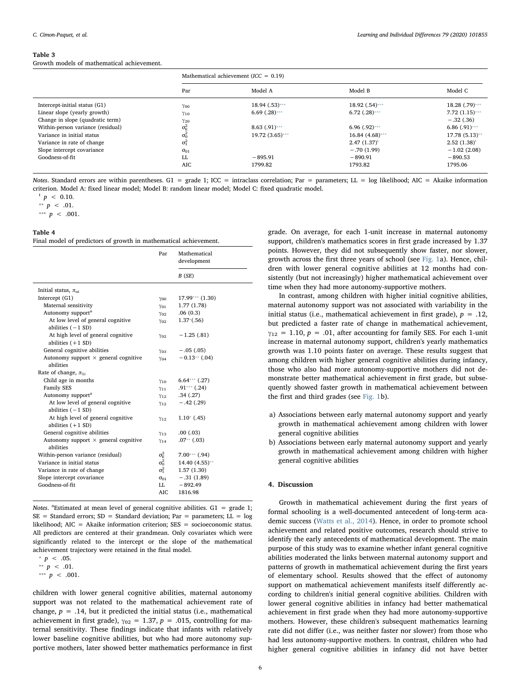#### <span id="page-5-0"></span>Table 3

Growth models of mathematical achievement.

|                                   | Mathematical achievement ( $ICC = 0.19$ ) |                   |                   |                  |  |
|-----------------------------------|-------------------------------------------|-------------------|-------------------|------------------|--|
|                                   | Par                                       | Model A           | Model B           | Model C          |  |
| Intercept-initial status (G1)     | $\gamma$ 00                               | $18.94(.53)***$   | $18.92(.54)***$   | 18.28 (.79)***   |  |
| Linear slope (yearly growth)      | $\gamma_{10}$                             | $6.69$ $(.28)***$ | $6.72$ $(.28)***$ | $7.72(1.15)$ *** |  |
| Change in slope (quadratic term)  | $\gamma_{20}$                             |                   |                   | $-.32(.36)$      |  |
| Within-person variance (residual) | $\sigma_{\rm E}^2$                        | $8.63(.91)$ ***   | $6.96(0.92)$ ***  | $6.86(.91)$ ***  |  |
| Variance in initial status        | $\sigma_0^2$                              | $19.72(3.65)$ *** | $16.84(4.68)$ *** | 17.78 (5.13)**   |  |
| Variance in rate of change        | $\sigma_1^2$                              |                   | $2.47(1.37)^t$    | $2.52(1.38)^t$   |  |
| Slope intercept covariance        | $\sigma_{01}$                             |                   | $-.70(1.99)$      | $-1.02(2.08)$    |  |
| Goodness-of-fit                   | LL                                        | $-895.91$         | $-890.91$         | $-890.53$        |  |
|                                   | AIC                                       | 1799.82           | 1793.82           | 1795.06          |  |

Notes. Standard errors are within parentheses. G1 = grade 1; ICC = intraclass correlation; Par = parameters; LL = log likelihood; AIC = Akaike information criterion. Model A: fixed linear model; Model B: random linear model; Model C: fixed quadratic model.

<span id="page-5-4"></span> $p > 0.10$ .

<span id="page-5-3"></span>\*\*  $p$  < .01.

<span id="page-5-2"></span>\*\*\*  $p \le .001$ .

#### <span id="page-5-1"></span>Table 4

Final model of predictors of growth in mathematical achievement.

|                                                           | Par                | Mathematical<br>development |
|-----------------------------------------------------------|--------------------|-----------------------------|
|                                                           |                    | B(SE)                       |
| Initial status, $\pi_{0i}$                                |                    |                             |
| Intercept (G1)                                            | Yoo                | $17.99***$ $(1.30)$         |
| Maternal sensitivity                                      | $Y_{01}$           | 1.77 (1.78)                 |
| Autonomy support <sup>a</sup>                             | $Y_{02}$           | .06(0.3)                    |
| At low level of general cognitive<br>abilities $(-1 SD)$  | $\gamma_{02}$      | $1.37*(.56)$                |
| At high level of general cognitive<br>abilities $(+1$ SD) | $Y_{02}$           | $-1.25(0.81)$               |
| General cognitive abilities                               | $\gamma_{03}$      | $-.05(.05)$                 |
| Autonomy support $\times$ general cognitive<br>abilities  | $Y_{04}$           | $-0.13**$ (.04)             |
| Rate of change, $\pi_{1i}$                                |                    |                             |
| Child age in months                                       | $Y_{10}$           | $6.64***$ (.27)             |
| Family SES                                                | $Y_{11}$           | $.91***$ $(.24)$            |
| Autonomy support <sup>a</sup>                             | 12                 | .34(.27)                    |
| At low level of general cognitive                         | $Y_{12}$           | $-.42(.29)$                 |
| abilities $(-1 SD)$                                       |                    |                             |
| At high level of general cognitive<br>abilities $(+1 SD)$ | $Y_{12}$           | $1.10*(0.45)$               |
| General cognitive abilities                               | $Y_{13}$           | .00(0.03)                   |
| Autonomy support $\times$ general cognitive               | $Y_14$             | $.07**$ (.03)               |
| abilities                                                 |                    |                             |
| Within-person variance (residual)                         | $\sigma_{\rm E}^2$ | $7.00***$ (.94)             |
| Variance in initial status                                | $\sigma_0^2$       | 14.40 (4.55)**              |
| Variance in rate of change                                | $\sigma_1^2$       | 1.57(1.30)                  |
| Slope intercept covariance                                | $\sigma_{01}$      | $-.31(1.89)$                |
| Goodness-of-fit                                           | LL.                | $-892.49$                   |
|                                                           | AIC.               | 1816.98                     |
|                                                           |                    |                             |

Notes. <sup>a</sup>Estimated at mean level of general cognitive abilities. G1 = grade 1;  $SE$  = Standard errors;  $SD$  = Standard deviation; Par = parameters; LL = log likelihood; AIC = Akaike information criterion; SES = socioeconomic status. All predictors are centered at their grandmean. Only covariates which were significantly related to the intercept or the slope of the mathematical achievement trajectory were retained in the final model.

<span id="page-5-6"></span> $p > .05$ .

<span id="page-5-7"></span>\*\*  $p$  < .01.

<span id="page-5-5"></span>\*\*\*  $p \, < \, .001.$ 

children with lower general cognitive abilities, maternal autonomy support was not related to the mathematical achievement rate of change,  $p = .14$ , but it predicted the initial status (i.e., mathematical achievement in first grade),  $\gamma_{02} = 1.37$ ,  $p = .015$ , controlling for maternal sensitivity. These findings indicate that infants with relatively lower baseline cognitive abilities, but who had more autonomy supportive mothers, later showed better mathematics performance in first

grade. On average, for each 1-unit increase in maternal autonomy support, children's mathematics scores in first grade increased by 1.37 points. However, they did not subsequently show faster, nor slower, growth across the first three years of school (see [Fig. 1](#page-6-0)a). Hence, children with lower general cognitive abilities at 12 months had consistently (but not increasingly) higher mathematical achievement over time when they had more autonomy-supportive mothers.

In contrast, among children with higher initial cognitive abilities, maternal autonomy support was not associated with variability in the initial status (i.e., mathematical achievement in first grade),  $p = .12$ , but predicted a faster rate of change in mathematical achievement,  $y_{12} = 1.10$ ,  $p = .01$ , after accounting for family SES. For each 1-unit increase in maternal autonomy support, children's yearly mathematics growth was 1.10 points faster on average. These results suggest that among children with higher general cognitive abilities during infancy, those who also had more autonomy-supportive mothers did not demonstrate better mathematical achievement in first grade, but subsequently showed faster growth in mathematical achievement between the first and third grades (see [Fig. 1](#page-6-0)b).

- a) Associations between early maternal autonomy support and yearly growth in mathematical achievement among children with lower general cognitive abilities
- b) Associations between early maternal autonomy support and yearly growth in mathematical achievement among children with higher general cognitive abilities

# 4. Discussion

Growth in mathematical achievement during the first years of formal schooling is a well-documented antecedent of long-term academic success ([Watts et al., 2014](#page-10-0)). Hence, in order to promote school achievement and related positive outcomes, research should strive to identify the early antecedents of mathematical development. The main purpose of this study was to examine whether infant general cognitive abilities moderated the links between maternal autonomy support and patterns of growth in mathematical achievement during the first years of elementary school. Results showed that the effect of autonomy support on mathematical achievement manifests itself differently according to children's initial general cognitive abilities. Children with lower general cognitive abilities in infancy had better mathematical achievement in first grade when they had more autonomy-supportive mothers. However, these children's subsequent mathematics learning rate did not differ (i.e., was neither faster nor slower) from those who had less autonomy-supportive mothers. In contrast, children who had higher general cognitive abilities in infancy did not have better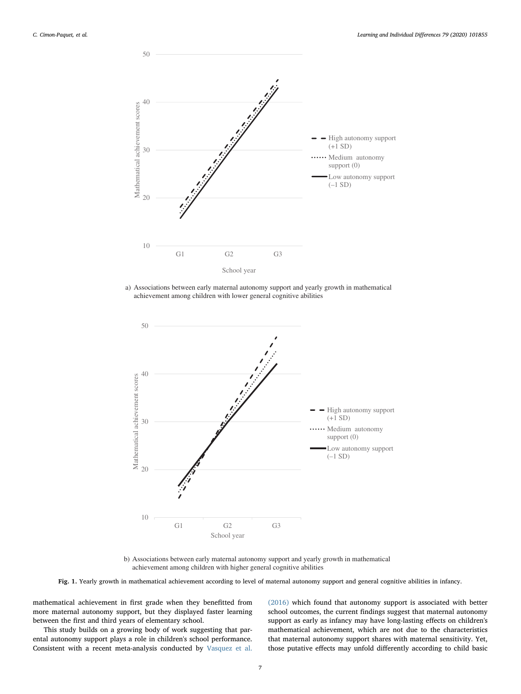<span id="page-6-0"></span>

a) Associations between early maternal autonomy support and yearly growth in mathematical achievement among children with lower general cognitive abilities



b) Associations between early maternal autonomy support and yearly growth in mathematical achievement among children with higher general cognitive abilities

Fig. 1. Yearly growth in mathematical achievement according to level of maternal autonomy support and general cognitive abilities in infancy.

mathematical achievement in first grade when they benefitted from more maternal autonomy support, but they displayed faster learning between the first and third years of elementary school.

This study builds on a growing body of work suggesting that parental autonomy support plays a role in children's school performance. Consistent with a recent meta-analysis conducted by [Vasquez et al.](#page-10-9) [\(2016\)](#page-10-9) which found that autonomy support is associated with better school outcomes, the current findings suggest that maternal autonomy support as early as infancy may have long-lasting effects on children's mathematical achievement, which are not due to the characteristics that maternal autonomy support shares with maternal sensitivity. Yet, those putative effects may unfold differently according to child basic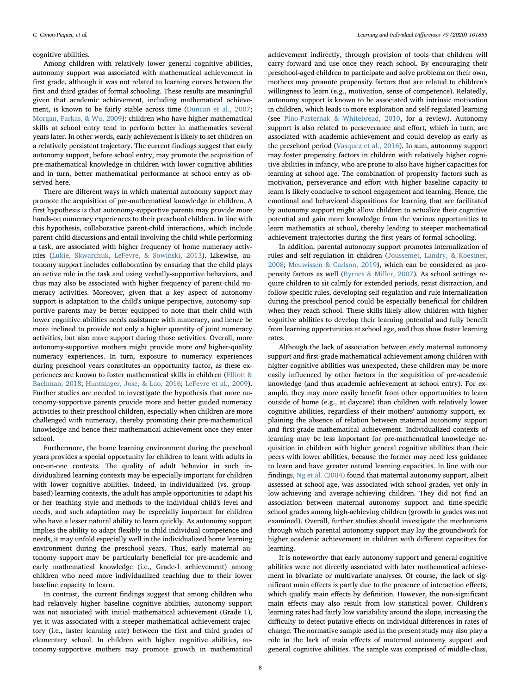# cognitive abilities.

Among children with relatively lower general cognitive abilities, autonomy support was associated with mathematical achievement in first grade, although it was not related to learning curves between the first and third grades of formal schooling. These results are meaningful given that academic achievement, including mathematical achievement, is known to be fairly stable across time ([Duncan et al., 2007](#page-9-0); [Morgan, Farkas, & Wu, 2009\)](#page-10-38): children who have higher mathematical skills at school entry tend to perform better in mathematics several years later. In other words, early achievement is likely to set children on a relatively persistent trajectory. The current findings suggest that early autonomy support, before school entry, may promote the acquisition of pre-mathematical knowledge in children with lower cognitive abilities and in turn, better mathematical performance at school entry as observed here.

There are different ways in which maternal autonomy support may promote the acquisition of pre-mathematical knowledge in children. A first hypothesis is that autonomy-supportive parents may provide more hands-on numeracy experiences to their preschool children. In line with this hypothesis, collaborative parent-child interactions, which include parent-child discussions and entail involving the child while performing a task, are associated with higher frequency of home numeracy activities ([Lukie, Skwarchuk, LeFevre, & Sowinski, 2013\)](#page-10-39). Likewise, autonomy support includes collaboration by ensuring that the child plays an active role in the task and using verbally-supportive behaviors, and thus may also be associated with higher frequency of parent-child numeracy activities. Moreover, given that a key aspect of autonomy support is adaptation to the child's unique perspective, autonomy-supportive parents may be better equipped to note that their child with lower cognitive abilities needs assistance with numeracy, and hence be more inclined to provide not only a higher quantity of joint numeracy activities, but also more support during those activities. Overall, more autonomy-supportive mothers might provide more and higher-quality numeracy experiences. In turn, exposure to numeracy experiences during preschool years constitutes an opportunity factor, as these experiences are known to foster mathematical skills in children [\(Elliott &](#page-9-22) [Bachman, 2018](#page-9-22); [Huntsinger, Jose, & Luo, 2016;](#page-9-48) [LeFevre et al., 2009](#page-9-49)). Further studies are needed to investigate the hypothesis that more autonomy-supportive parents provide more and better guided numeracy activities to their preschool children, especially when children are more challenged with numeracy, thereby promoting their pre-mathematical knowledge and hence their mathematical achievement once they enter school.

Furthermore, the home learning environment during the preschool years provides a special opportunity for children to learn with adults in one-on-one contexts. The quality of adult behavior in such individualized learning contexts may be especially important for children with lower cognitive abilities. Indeed, in individualized (vs. groupbased) learning contexts, the adult has ample opportunities to adapt his or her teaching style and methods to the individual child's level and needs, and such adaptation may be especially important for children who have a lesser natural ability to learn quickly. As autonomy support implies the ability to adapt flexibly to child individual competence and needs, it may unfold especially well in the individualized home learning environment during the preschool years. Thus, early maternal autonomy support may be particularly beneficial for pre-academic and early mathematical knowledge (i.e., Grade-1 achievement) among children who need more individualized teaching due to their lower baseline capacity to learn.

In contrast, the current findings suggest that among children who had relatively higher baseline cognitive abilities, autonomy support was not associated with initial mathematical achievement (Grade 1), yet it was associated with a steeper mathematical achievement trajectory (i.e., faster learning rate) between the first and third grades of elementary school. In children with higher cognitive abilities, autonomy-supportive mothers may promote growth in mathematical achievement indirectly, through provision of tools that children will carry forward and use once they reach school. By encouraging their preschool-aged children to participate and solve problems on their own, mothers may promote propensity factors that are related to children's willingness to learn (e.g., motivation, sense of competence). Relatedly, autonomy support is known to be associated with intrinsic motivation in children, which leads to more exploration and self-regulated learning (see Pino-Pasternak [& Whitebread, 2010,](#page-10-16) for a review). Autonomy support is also related to perseverance and effort, which in turn, are associated with academic achievement and could develop as early as the preschool period ([Vasquez et al., 2016\)](#page-10-9). In sum, autonomy support may foster propensity factors in children with relatively higher cognitive abilities in infancy, who are prone to also have higher capacities for learning at school age. The combination of propensity factors such as motivation, perseverance and effort with higher baseline capacity to learn is likely conducive to school engagement and learning. Hence, the emotional and behavioral dispositions for learning that are facilitated by autonomy support might allow children to actualize their cognitive potential and gain more knowledge from the various opportunities to learn mathematics at school, thereby leading to steeper mathematical achievement trajectories during the first years of formal schooling.

In addition, parental autonomy support promotes internalization of rules and self-regulation in children [\(Joussemet, Landry, & Koestner,](#page-9-50) [2008;](#page-9-50) [Meuwissen & Carlson, 2019\)](#page-10-40), which can be considered as propensity factors as well ([Byrnes & Miller, 2007\)](#page-9-24). As school settings require children to sit calmly for extended periods, resist distraction, and follow specific rules, developing self-regulation and rule internalization during the preschool period could be especially beneficial for children when they reach school. These skills likely allow children with higher cognitive abilities to develop their learning potential and fully benefit from learning opportunities at school age, and thus show faster learning rates.

Although the lack of association between early maternal autonomy support and first-grade mathematical achievement among children with higher cognitive abilities was unexpected, these children may be more easily influenced by other factors in the acquisition of pre-academic knowledge (and thus academic achievement at school entry). For example, they may more easily benefit from other opportunities to learn outside of home (e.g., at daycare) than children with relatively lower cognitive abilities, regardless of their mothers' autonomy support, explaining the absence of relation between maternal autonomy support and first-grade mathematical achievement. Individualized contexts of learning may be less important for pre-mathematical knowledge acquisition in children with higher general cognitive abilities than their peers with lower abilities, because the former may need less guidance to learn and have greater natural learning capacities. In line with our findings, [Ng et al. \(2004\)](#page-10-22) found that maternal autonomy support, albeit assessed at school age, was associated with school grades, yet only in low-achieving and average-achieving children. They did not find an association between maternal autonomy support and time-specific school grades among high-achieving children (growth in grades was not examined). Overall, further studies should investigate the mechanisms through which parental autonomy support may lay the groundwork for higher academic achievement in children with different capacities for learning.

It is noteworthy that early autonomy support and general cognitive abilities were not directly associated with later mathematical achievement in bivariate or multivariate analyses. Of course, the lack of significant main effects is partly due to the presence of interaction effects, which qualify main effects by definition. However, the non-significant main effects may also result from low statistical power. Children's learning rates had fairly low variability around the slope, increasing the difficulty to detect putative effects on individual differences in rates of change. The normative sample used in the present study may also play a role in the lack of main effects of maternal autonomy support and general cognitive abilities. The sample was comprised of middle-class,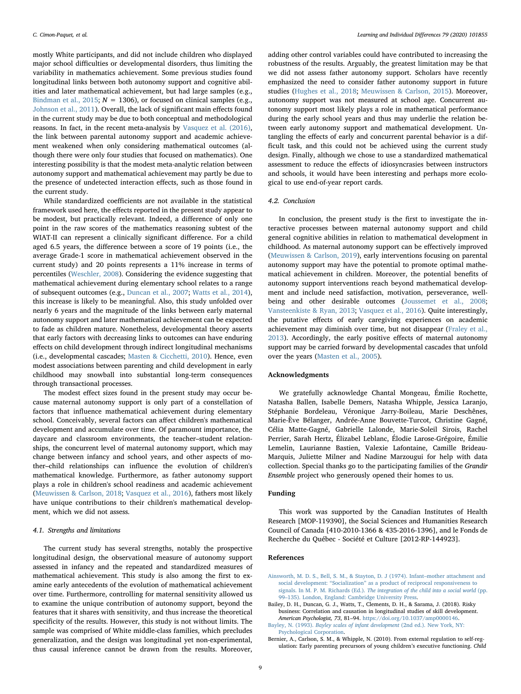mostly White participants, and did not include children who displayed major school difficulties or developmental disorders, thus limiting the variability in mathematics achievement. Some previous studies found longitudinal links between both autonomy support and cognitive abilities and later mathematical achievement, but had large samples (e.g., [Bindman et al., 2015](#page-9-18);  $N = 1306$ ), or focused on clinical samples (e.g., [Johnson et al., 2011\)](#page-9-26). Overall, the lack of significant main effects found in the current study may be due to both conceptual and methodological reasons. In fact, in the recent meta-analysis by [Vasquez et al. \(2016\)](#page-10-9), the link between parental autonomy support and academic achievement weakened when only considering mathematical outcomes (although there were only four studies that focused on mathematics). One interesting possibility is that the modest meta-analytic relation between autonomy support and mathematical achievement may partly be due to the presence of undetected interaction effects, such as those found in the current study.

While standardized coefficients are not available in the statistical framework used here, the effects reported in the present study appear to be modest, but practically relevant. Indeed, a difference of only one point in the raw scores of the mathematics reasoning subtest of the WIAT-II can represent a clinically significant difference. For a child aged 6.5 years, the difference between a score of 19 points (i.e., the average Grade-1 score in mathematical achievement observed in the current study) and 20 points represents a 11% increase in terms of percentiles [\(Weschler, 2008](#page-10-32)). Considering the evidence suggesting that mathematical achievement during elementary school relates to a range of subsequent outcomes (e.g., [Duncan et al., 2007](#page-9-0); [Watts et al., 2014](#page-10-0)), this increase is likely to be meaningful. Also, this study unfolded over nearly 6 years and the magnitude of the links between early maternal autonomy support and later mathematical achievement can be expected to fade as children mature. Nonetheless, developmental theory asserts that early factors with decreasing links to outcomes can have enduring effects on child development through indirect longitudinal mechanisms (i.e., developmental cascades; [Masten & Cicchetti, 2010](#page-10-41)). Hence, even modest associations between parenting and child development in early childhood may snowball into substantial long-term consequences through transactional processes.

The modest effect sizes found in the present study may occur because maternal autonomy support is only part of a constellation of factors that influence mathematical achievement during elementary school. Conceivably, several factors can affect children's mathematical development and accumulate over time. Of paramount importance, the daycare and classroom environments, the teacher–student relationships, the concurrent level of maternal autonomy support, which may change between infancy and school years, and other aspects of mother–child relationships can influence the evolution of children's mathematical knowledge. Furthermore, as father autonomy support plays a role in children's school readiness and academic achievement ([Meuwissen & Carlson, 2018](#page-10-42); [Vasquez et al., 2016](#page-10-9)), fathers most likely have unique contributions to their children's mathematical development, which we did not assess.

# 4.1. Strengths and limitations

The current study has several strengths, notably the prospective longitudinal design, the observational measure of autonomy support assessed in infancy and the repeated and standardized measures of mathematical achievement. This study is also among the first to examine early antecedents of the evolution of mathematical achievement over time. Furthermore, controlling for maternal sensitivity allowed us to examine the unique contribution of autonomy support, beyond the features that it shares with sensitivity, and thus increase the theoretical specificity of the results. However, this study is not without limits. The sample was comprised of White middle-class families, which precludes generalization, and the design was longitudinal yet non-experimental, thus causal inference cannot be drawn from the results. Moreover,

adding other control variables could have contributed to increasing the robustness of the results. Arguably, the greatest limitation may be that we did not assess father autonomy support. Scholars have recently emphasized the need to consider father autonomy support in future studies [\(Hughes et al., 2018;](#page-9-40) [Meuwissen & Carlson, 2015](#page-10-30)). Moreover, autonomy support was not measured at school age. Concurrent autonomy support most likely plays a role in mathematical performance during the early school years and thus may underlie the relation between early autonomy support and mathematical development. Untangling the effects of early and concurrent parental behavior is a difficult task, and this could not be achieved using the current study design. Finally, although we chose to use a standardized mathematical assessment to reduce the effects of idiosyncrasies between instructors and schools, it would have been interesting and perhaps more ecological to use end-of-year report cards.

# 4.2. Conclusion

In conclusion, the present study is the first to investigate the interactive processes between maternal autonomy support and child general cognitive abilities in relation to mathematical development in childhood. As maternal autonomy support can be effectively improved ([Meuwissen & Carlson, 2019](#page-10-40)), early interventions focusing on parental autonomy support may have the potential to promote optimal mathematical achievement in children. Moreover, the potential benefits of autonomy support interventions reach beyond mathematical development and include need satisfaction, motivation, perseverance, wellbeing and other desirable outcomes [\(Joussemet et al., 2008](#page-9-50); [Vansteenkiste & Ryan, 2013;](#page-10-43) [Vasquez et al., 2016\)](#page-10-9). Quite interestingly, the putative effects of early caregiving experiences on academic achievement may diminish over time, but not disappear ([Fraley et al.,](#page-9-31) [2013\)](#page-9-31). Accordingly, the early positive effects of maternal autonomy support may be carried forward by developmental cascades that unfold over the years ([Masten et al., 2005\)](#page-10-44).

# Acknowledgments

We gratefully acknowledge Chantal Mongeau, Émilie Rochette, Natasha Ballen, Isabelle Demers, Natasha Whipple, Jessica Laranjo, Stéphanie Bordeleau, Véronique Jarry-Boileau, Marie Deschênes, Marie-Ève Bélanger, Andrée-Anne Bouvette-Turcot, Christine Gagné, Célia Matte-Gagné, Gabrielle Lalonde, Marie-Soleil Sirois, Rachel Perrier, Sarah Hertz, Élizabel Leblanc, Élodie Larose-Grégoire, Émilie Lemelin, Laurianne Bastien, Valexie Lafontaine, Camille Brideau-Marquis, Juliette Milner and Nadine Marzougui for help with data collection. Special thanks go to the participating families of the Grandir Ensemble project who generously opened their homes to us.

# Funding

This work was supported by the Canadian Institutes of Health Research [MOP-119390], the Social Sciences and Humanities Research Council of Canada [410-2010-1366 & 435-2016-1396], and le Fonds de Recherche du Québec - Société et Culture [2012-RP-144923].

#### References

- <span id="page-8-2"></span>[Ainsworth, M. D. S., Bell, S. M., & Stayton, D. J \(1974\). Infant](http://refhub.elsevier.com/S1041-6080(20)30035-2/rf0005)–mother attachment and social development: "Socialization" [as a product of reciprocal responsiveness to](http://refhub.elsevier.com/S1041-6080(20)30035-2/rf0005) signals. In M. P. M. Richards (Ed.). [The integration of the child into a social world](http://refhub.elsevier.com/S1041-6080(20)30035-2/rf0005) (pp. 99–[135\). London, England: Cambridge University Press](http://refhub.elsevier.com/S1041-6080(20)30035-2/rf0005).
- <span id="page-8-0"></span>Bailey, D. H., Duncan, G. J., Watts, T., Clements, D. H., & Sarama, J. (2018). Risky business: Correlation and causation in longitudinal studies of skill development. American Psychologist, 73, 81–94. [https://doi.org/10.1037/amp0000146.](https://doi.org/10.1037/amp0000146)
- <span id="page-8-3"></span>Bayley, N. (1993). [Bayley scales of infant development](http://refhub.elsevier.com/S1041-6080(20)30035-2/rf0015) (2nd ed.). New York, NY: [Psychological Corporation](http://refhub.elsevier.com/S1041-6080(20)30035-2/rf0015).
- <span id="page-8-1"></span>Bernier, A., Carlson, S. M., & Whipple, N. (2010). From external regulation to self-regulation: Early parenting precursors of young children's executive functioning. Child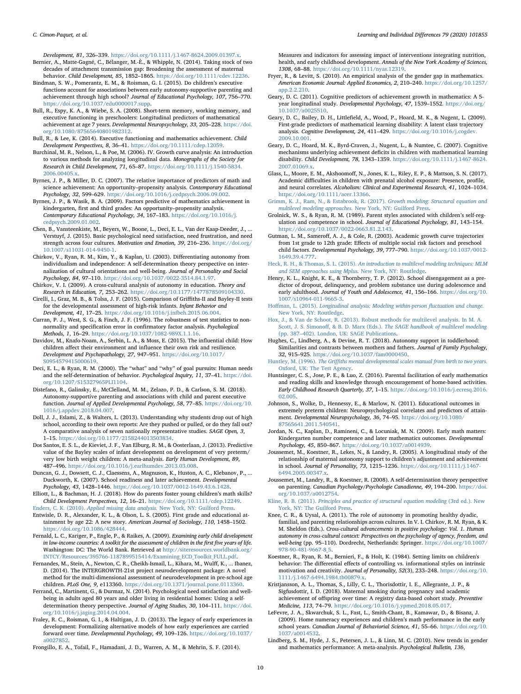Development, 81, 326–339. <https://doi.org/10.1111/j.1467-8624.2009.01397.x>.

- <span id="page-9-32"></span>Bernier, A., Matte-Gagné, C., Bélanger, M.-È., & Whipple, N. (2014). Taking stock of two decades of attachment transmission gap: Broadening the assessment of maternal behavior. Child Development, 85, 1852–1865. [https://doi.org/10.1111/cdev.12236.](https://doi.org/10.1111/cdev.12236)
- <span id="page-9-18"></span>Bindman, S. W., Pomerantz, E. M., & Roisman, G. I. (2015). Do children's executive functions account for associations between early autonomy-supportive parenting and achievement through high school? Journal of Educational Psychology, 107, 756–770. [https://doi.org/10.1037/edu0000017.supp.](https://doi.org/10.1037/edu0000017.supp)
- <span id="page-9-23"></span>Bull, R., Espy, K. A., & Wiebe, S. A. (2008). Short-term memory, working memory, and executive functioning in preschoolers: Longitudinal predictors of mathematical achievement at age 7 years. Developmental Neuropsychology, 33, 205–228. [https://doi.](https://doi.org/10.1080/87565640801982312) [org/10.1080/87565640801982312](https://doi.org/10.1080/87565640801982312).
- <span id="page-9-19"></span>Bull, R., & Lee, K. (2014). Executive functioning and mathematics achievement. Child Development Perspectives, 8, 36–41. [https://doi.org/10.1111/cdep.12059.](https://doi.org/10.1111/cdep.12059)
- <span id="page-9-42"></span>Burchinal, M. R., Nelson, L., & Poe, M. (2006). IV. Growth curve analysis: An introduction to various methods for analyzing longitudinal data. Monographs of the Society for Research in Child Development, 71, 65–87. [https://doi.org/10.1111/j.1540-5834.](https://doi.org/10.1111/j.1540-5834.2006.00405.x) [2006.00405.x.](https://doi.org/10.1111/j.1540-5834.2006.00405.x)
- <span id="page-9-24"></span>Byrnes, J. P., & Miller, D. C. (2007). The relative importance of predictors of math and science achievement: An opportunity–propensity analysis. Contemporary Educational Psychology, 32, 599–629. <https://doi.org/10.1016/j.cedpsych.2006.09.002>.
- <span id="page-9-4"></span>Byrnes, J. P., & Wasik, B. A. (2009). Factors predictive of mathematics achievement in kindergarten, first and third grades: An opportunity–propensity analysis. Contemporary Educational Psychology, 34, 167–183. [https://doi.org/10.1016/j.](https://doi.org/10.1016/j.cedpsych.2009.01.002) [cedpsych.2009.01.002](https://doi.org/10.1016/j.cedpsych.2009.01.002).
- <span id="page-9-10"></span>Chen, B., Vansteenkiste, M., Beyers, W., Boone, L., Deci, E. L., Van der Kaap-Deeder, J., ... Verstuyf, J. (2015). Basic psychological need satisfaction, need frustration, and need strength across four cultures. Motivation and Emotion, 39, 216–236. [https://doi.org/](https://doi.org/10.1007/s11031-014-9450-1) [10.1007/s11031-014-9450-1](https://doi.org/10.1007/s11031-014-9450-1).
- <span id="page-9-14"></span>Chirkov, V., Ryan, R. M., Kim, Y., & Kaplan, U. (2003). Differentiating autonomy from individualism and independence: A self-determination theory perspective on internalization of cultural orientations and well-being. Journal of Personality and Social Psychology, 84, 97–110. [https://doi.org/10.1037/0022-3514.84.1.97.](https://doi.org/10.1037/0022-3514.84.1.97)
- <span id="page-9-15"></span>Chirkov, V. I. (2009). A cross-cultural analysis of autonomy in education. Theory and Research in Education, 7, 253–262. <https://doi.org/10.1177/1477878509104330>.
- <span id="page-9-38"></span>Cirelli, I., Graz, M. B., & Tolsa, J. F. (2015). Comparison of Griffiths-II and Bayley-II tests for the developmental assessment of high-risk infants. Infant Behavior and Development, 41, 17–25. [https://doi.org/10.1016/j.infbeh.2015.06.004.](https://doi.org/10.1016/j.infbeh.2015.06.004)
- <span id="page-9-46"></span>Curran, P. J., West, S. G., & Finch, J. F. (1996). The robustness of test statistics to nonnormality and specification error in confirmatory factor analysis. Psychological Methods, 1, 16–29. [https://doi.org/10.1037/1082-989X.1.1.16.](https://doi.org/10.1037/1082-989X.1.1.16)
- <span id="page-9-21"></span>Davidov, M., Knafo-Noam, A., Serbin, L. A., & Moss, E. (2015). The influential child: How children affect their environment and influence their own risk and resilience. Development and Psychopathology, 27, 947–951. [https://doi.org/10.1017/](https://doi.org/10.1017/S0954579415000619) [S0954579415000619](https://doi.org/10.1017/S0954579415000619).
- <span id="page-9-9"></span>Deci, E. L., & Ryan, R. M. (2000). The "what" and "why" of goal pursuits: Human needs and the self-determination of behavior. Psychological Inquiry, 11, 37–41. [https://doi.](https://doi.org/10.1207/S15327965PLI1104) [org/10.1207/S15327965PLI1104.](https://doi.org/10.1207/S15327965PLI1104)
- <span id="page-9-17"></span>Distefano, R., Galinsky, E., McClelland, M. M., Zelazo, P. D., & Carlson, S. M. (2018). Autonomy-supportive parenting and associations with child and parent executive function. Journal of Applied Developmental Psychology, 58, 77–85. [https://doi.org/10.](https://doi.org/10.1016/j.appdev.2018.04.007) [1016/j.appdev.2018.04.007.](https://doi.org/10.1016/j.appdev.2018.04.007)
- <span id="page-9-2"></span>Doll, J. J., Eslami, Z., & Walters, L. (2013). Understanding why students drop out of high school, according to their own reports: Are they pushed or pulled, or do they fall out? A comparative analysis of seven nationally representative studies. SAGE Open, 3, 1–15. [https://doi.org/10.1177/2158244013503834.](https://doi.org/10.1177/2158244013503834)
- <span id="page-9-34"></span>Dos Santos, E. S. L., de Kieviet, J. F., Van Elburg, R. M., & Oosterlaan, J. (2013). Predictive value of the Bayley scales of infant development on development of very preterm/ very low birth weight children: A meta-analysis. Early Human Development, 89, 487–496. [https://doi.org/10.1016/j.earlhumdev.2013.03.008.](https://doi.org/10.1016/j.earlhumdev.2013.03.008)
- <span id="page-9-0"></span>Duncan, G. J., Dowsett, C. J., Claessens, A., Magnuson, K., Huston, A. C., Klebanov, P., ... Duckworth, K. (2007). School readiness and later achievement. Developmental Psychology, 43, 1428–1446. [https://doi.org/10.1037/0012-1649.43.6.1428.](https://doi.org/10.1037/0012-1649.43.6.1428)
- <span id="page-9-22"></span>Elliott, L., & Bachman, H. J. (2018). How do parents foster young children's math skills? Child Development Perspectives, 12, 16–21. <https://doi.org/10.1111/cdep.12249>.
- <span id="page-9-33"></span><span id="page-9-1"></span>Enders, C. K. (2010). Applied missing data analysis. [New York, NY: Guilford Press](http://refhub.elsevier.com/S1041-6080(20)30035-2/rf0125). Entwisle, D. R., Alexander, K. L., & Olson, L. S. (2005). First grade and educational attainment by age 22: A new story. American Journal of Sociology, 110, 1458–1502. [https://doi.org/10.1086/428444.](https://doi.org/10.1086/428444)
- <span id="page-9-35"></span>Fernald, L. C., Kariger, P., Engle, P., & Raikes, A. (2009). Examining early child development in low-income countries: A toolkit for the assessment of children in the first five years of life. Washington: DC: The World Bank. Retrieved at [http://siteresources.worldbank.org/](http://siteresources.worldbank.org/INTCY/Resources/395766-1187899515414/Examining_ECD_Toolkit_FULL.pdf) [INTCY/Resources/395766-1187899515414/Examining\\_ECD\\_Toolkit\\_FULL.pdf](http://siteresources.worldbank.org/INTCY/Resources/395766-1187899515414/Examining_ECD_Toolkit_FULL.pdf).
- <span id="page-9-36"></span>Fernandes, M., Stein, A., Newton, C. R., Cheikh-Ismail, L., Kihara, M., Wulff, K., ... Ibanez, D. (2014). The INTERGROWTH-21st project neurodevelopment package: A novel method for the multi-dimensional assessment of neurodevelopment in pre-school age children. PLoS One, 9, e113360. <https://doi.org/10.1371/journal.pone.0113360>.
- <span id="page-9-11"></span>Ferrand, C., Martinent, G., & Durmaz, N. (2014). Psychological need satisfaction and wellbeing in adults aged 80 years and older living in residential homes: Using a selfdetermination theory perspective. Journal of Aging Studies, 30, 104–111. [https://doi.](https://doi.org/10.1016/j.jaging.2014.04.004) [org/10.1016/j.jaging.2014.04.004](https://doi.org/10.1016/j.jaging.2014.04.004).
- <span id="page-9-31"></span>Fraley, R. C., Roisman, G. I., & Haltigan, J. D. (2013). The legacy of early experiences in development: Formalizing alternative models of how early experiences are carried forward over time. Developmental Psychology, 49, 109–126. [https://doi.org/10.1037/](https://doi.org/10.1037/a0027852) [a0027852.](https://doi.org/10.1037/a0027852)
- <span id="page-9-37"></span>Frongillo, E. A., Tofail, F., Hamadani, J. D., Warren, A. M., & Mehrin, S. F. (2014).

Measures and indicators for assessing impact of interventions integrating nutrition, health, and early childhood development. Annals of the New York Academy of Sciences, 1308, 68–88. <https://doi.org/10.1111/nyas.12319>.

- <span id="page-9-29"></span>Fryer, R., & Levitt, S. (2010). An empirical analysis of the gender gap in mathematics. American Economic Journal: Applied Economics, 2, 210–240. [https://doi.org/10.1257/](https://doi.org/10.1257/app.2.2.210) [app.2.2.210](https://doi.org/10.1257/app.2.2.210).
- <span id="page-9-7"></span>Geary, D. C. (2011). Cognitive predictors of achievement growth in mathematics: A 5 year longitudinal study. Developmental Psychology, 47, 1539–1552. [https://doi.org/](https://doi.org/10.1037/a0025510) [10.1037/a0025510](https://doi.org/10.1037/a0025510).
- <span id="page-9-5"></span>Geary, D. C., Bailey, D. H., Littlefield, A., Wood, P., Hoard, M. K., & Nugent, L. (2009). First-grade predictors of mathematical learning disability: A latent class trajectory analysis. Cognitive Development, 24, 411–429. [https://doi.org/10.1016/j.cogdev.](https://doi.org/10.1016/j.cogdev.2009.10.001) [2009.10.001](https://doi.org/10.1016/j.cogdev.2009.10.001).
- <span id="page-9-25"></span>Geary, D. C., Hoard, M. K., Byrd-Craven, J., Nugent, L., & Numtee, C. (2007). Cognitive mechanisms underlying achievement deficits in children with mathematical learning disability. Child Development, 78, 1343–1359. [https://doi.org/10.1111/j.1467-8624.](https://doi.org/10.1111/j.1467-8624.2007.01069.x) [2007.01069.x.](https://doi.org/10.1111/j.1467-8624.2007.01069.x)
- <span id="page-9-27"></span>Glass, L., Moore, E. M., Akshoomoff, N., Jones, K. L., Riley, E. P., & Mattson, S. N. (2017). Academic difficulties in children with prenatal alcohol exposure: Presence, profile, and neural correlates. Alcoholism: Clinical and Experimental Research, 41, 1024–1034. [https://doi.org/10.1111/acer.13366.](https://doi.org/10.1111/acer.13366)
- <span id="page-9-44"></span>[Grimm, K. J., Ram, N., & Estabrook, R. \(2017\).](http://refhub.elsevier.com/S1041-6080(20)30035-2/rf0185) Growth modeling: Structural equation and multilevel modeling approaches. [New York, NY: Guilford Press.](http://refhub.elsevier.com/S1041-6080(20)30035-2/rf0185)
- <span id="page-9-12"></span>Grolnick, W. S., & Ryan, R. M. (1989). Parent styles associated with children's self-regulation and competence in school. Journal of Educational Psychology, 81, 143–154. [https://doi.org/10.1037/0022-0663.81.2.143.](https://doi.org/10.1037/0022-0663.81.2.143)
- <span id="page-9-8"></span>Gutman, L. M., Sameroff, A. J., & Cole, R. (2003). Academic growth curve trajectories from 1st grade to 12th grade: Effects of multiple social risk factors and preschool child factors. Developmental Psychology, 39, 777–790. [https://doi.org/10.1037/0012-](https://doi.org/10.1037/0012-1649.39.4.777) [1649.39.4.777.](https://doi.org/10.1037/0012-1649.39.4.777)
- <span id="page-9-43"></span>Heck, R. H., & Thomas, S. L. (2015). [An introduction to multilevel modeling techniques: MLM](http://refhub.elsevier.com/S1041-6080(20)30035-2/rf0200) [and SEM approaches using Mplus.](http://refhub.elsevier.com/S1041-6080(20)30035-2/rf0200) New York, NY: Routledge.
- <span id="page-9-3"></span>Henry, K. L., Knight, K. E., & Thornberry, T. P. (2012). School disengagement as a predictor of dropout, delinquency, and problem substance use during adolescence and early adulthood. Journal of Youth and Adolescence, 41, 156-166. [https://doi.org/10.](https://doi.org/10.1007/s10964-011-9665-3) [1007/s10964-011-9665-3](https://doi.org/10.1007/s10964-011-9665-3).
- <span id="page-9-45"></span>Hoffman, L. (2015). [Longitudinal analysis: Modeling within-person](http://refhub.elsevier.com/S1041-6080(20)30035-2/rf0210) fluctuation and change. [New York, NY: Routledge.](http://refhub.elsevier.com/S1041-6080(20)30035-2/rf0210)
- <span id="page-9-41"></span>[Hox, J., & Van de Schoot, R. \(2013\). Robust methods for multilevel analysis. In M. A.](http://refhub.elsevier.com/S1041-6080(20)30035-2/rf0215) Scott, J. S. Simonoff, & B. D. Marx (Eds.). [The SAGE handbook of multilevel modeling](http://refhub.elsevier.com/S1041-6080(20)30035-2/rf0215) (pp. 387–[402\). London, UK: SAGE Publications](http://refhub.elsevier.com/S1041-6080(20)30035-2/rf0215).
- <span id="page-9-40"></span>Hughes, C., Lindberg, A., & Devine, R. T. (2018). Autonomy support in toddlerhood: Similarities and contrasts between mothers and fathers. Journal of Family Psychology, 32, 915–925. [https://doi.org/10.1037/fam0000450.](https://doi.org/10.1037/fam0000450)
- <span id="page-9-39"></span>Huntley, M. (1996). The Griffi[ths mental developmental scales manual from birth to two years.](http://refhub.elsevier.com/S1041-6080(20)30035-2/rf0225) [Oxford, UK: The Test Agency.](http://refhub.elsevier.com/S1041-6080(20)30035-2/rf0225)
- <span id="page-9-48"></span>Huntsinger, C. S., Jose, P. E., & Luo, Z. (2016). Parental facilitation of early mathematics and reading skills and knowledge through encouragement of home-based activities. Early Childhood Research Quarterly, 37, 1–15. [https://doi.org/10.1016/j.ecresq.2016.](https://doi.org/10.1016/j.ecresq.2016.02.005) [02.005](https://doi.org/10.1016/j.ecresq.2016.02.005).
- <span id="page-9-26"></span>Johnson, S., Wolke, D., Hennessy, E., & Marlow, N. (2011). Educational outcomes in extremely preterm children: Neuropsychological correlates and predictors of attainment. Developmental Neuropsychology, 36, 74–95. [https://doi.org/10.1080/](https://doi.org/10.1080/87565641.2011.540541) [87565641.2011.540541.](https://doi.org/10.1080/87565641.2011.540541)
- <span id="page-9-6"></span>Jordan, N. C., Kaplan, D., Ramineni, C., & Locuniak, M. N. (2009). Early math matters: Kindergarten number competence and later mathematics outcomes. Developmental Psychology, 45, 850–867. [https://doi.org/10.1037/a0014939.](https://doi.org/10.1037/a0014939)
- <span id="page-9-20"></span>Joussemet, M., Koestner, R., Lekes, N., & Landry, R. (2005). A longitudinal study of the relationship of maternal autonomy support to children's adjustment and achievement in school. Journal of Personality, 73, 1215–1236. [https://doi.org/10.1111/j.1467-](https://doi.org/10.1111/j.1467-6494.2005.00347.x) [6494.2005.00347.x.](https://doi.org/10.1111/j.1467-6494.2005.00347.x)
- <span id="page-9-50"></span>Joussemet, M., Landry, R., & Koestner, R. (2008). A self-determination theory perspective on parenting. Canadian Psychology/Psychologie Canadienne, 49, 194–200. [https://doi.](https://doi.org/10.1037/a0012754) [org/10.1037/a0012754.](https://doi.org/10.1037/a0012754)
- <span id="page-9-47"></span>Kline, R. B. (2011). [Principles and practice of structural equation modeling](http://refhub.elsevier.com/S1041-6080(20)30035-2/rf0255) (3rd ed.). New [York, NY: The Guilford Press](http://refhub.elsevier.com/S1041-6080(20)30035-2/rf0255).
- <span id="page-9-16"></span>Knee, C. R., & Uysal, A. (2011). The role of autonomy in promoting healthy dyadic, familial, and parenting relationships across cultures. In V. I. Chirkov, R. M. Ryan, & K. M. Sheldon (Eds.). Cross-cultural advancements in positive psychology: Vol. 1. Human autonomy in cross-cultural context: Perspectives on the psychology of agency, freedom, and well-being (pp. 95–110). Dordrecht, Netherlands: Springer. [https://doi.org/10.1007/](https://doi.org/10.1007/978-90-481-9667-8_5) [978-90-481-9667-8\\_5](https://doi.org/10.1007/978-90-481-9667-8_5).
- <span id="page-9-13"></span>Koestner, R., Ryan, R. M., Bernieri, F., & Holt, K. (1984). Setting limits on children's behavior: The differential effects of controlling vs. informational styles on intrinsic motivation and creativity. Journal of Personality, 52(3), 233–248. [https://doi.org/10.](https://doi.org/10.1111/j.1467-6494.1984.tb00879.x) [1111/j.1467-6494.1984.tb00879.x](https://doi.org/10.1111/j.1467-6494.1984.tb00879.x).
- <span id="page-9-28"></span>Kristjansson, A. L., Thomas, S., Lilly, C. L., Thorisdottir, I. E., Allegrante, J. P., & Sigfusdottir, I. D. (2018). Maternal smoking during pregnancy and academic achievement of offspring over time: A registry data-based cohort study. Preventive Medicine, 113, 74–79. [https://doi.org/10.1016/j.ypmed.2018.05.017.](https://doi.org/10.1016/j.ypmed.2018.05.017)
- <span id="page-9-49"></span>LeFevre, J. A., Skwarchuk, S. L., Fast, L., Smith-Chant, B., Kamawar, D., & Bisanz, J. (2009). Home numeracy experiences and children's math performance in the early school years. Canadian Journal of Behaviorial Science, 41, 55–66. [https://doi.org/10.](https://doi.org/10.1037/a0014532) [1037/a0014532](https://doi.org/10.1037/a0014532).
- <span id="page-9-30"></span>Lindberg, S. M., Hyde, J. S., Petersen, J. L., & Linn, M. C. (2010). New trends in gender and mathematics performance: A meta-analysis. Psychological Bulletin, 136,